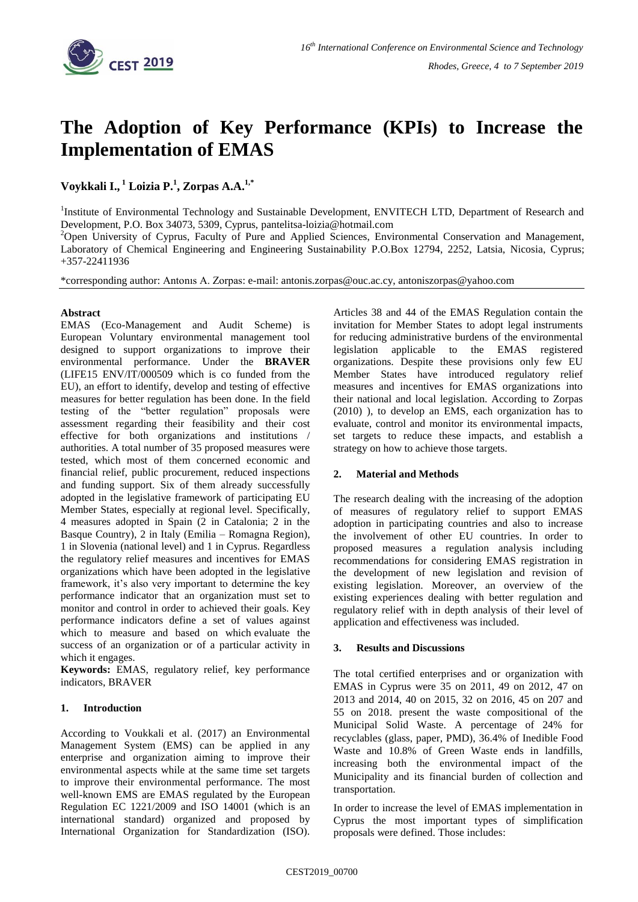

# **The Adoption of Key Performance (KPIs) to Increase the Implementation of EMAS**

**Voykkali I., <sup>1</sup> Loizia P.<sup>1</sup> , Zorpas A.A.1,\***

<sup>1</sup>Institute of Environmental Technology and Sustainable Development, ENVITECH LTD, Department of Research and Development, P.O. Box 34073, 5309, Cyprus, [pantelitsa-loizia@hotmail.com](mailto:pantelitsa-loizia@hotmail.com)

<sup>2</sup>Open University of Cyprus, Faculty of Pure and Applied Sciences, Environmental Conservation and Management, Laboratory of Chemical Engineering and Engineering Sustainability P.O.Box 12794, 2252, Latsia, Nicosia, Cyprus; +357-22411936

\*corresponding author: Antonıs A. Zorpas: e-mail: antonis.zorpas@ouc.ac.cy, antoniszorpas@yahoo.com

## **Abstract**

EMAS (Eco-Management and Audit Scheme) is European Voluntary environmental management tool designed to support organizations to improve their environmental performance. Under the **BRAVER**  (LIFE15 ENV/IT/000509 which is co funded from the EU), an effort to identify, develop and testing of effective measures for better regulation has been done. In the field testing of the "better regulation" proposals were assessment regarding their feasibility and their cost effective for both organizations and institutions / authorities. A total number of 35 proposed measures were tested, which most of them concerned economic and financial relief, public procurement, reduced inspections and funding support. Six of them already successfully adopted in the legislative framework of participating EU Member States, especially at regional level. Specifically, 4 measures adopted in Spain (2 in Catalonia; 2 in the Basque Country), 2 in Italy (Emilia – Romagna Region), 1 in Slovenia (national level) and 1 in Cyprus. Regardless the regulatory relief measures and incentives for EMAS organizations which have been adopted in the legislative framework, it's also very important to determine the key performance indicator that an organization must set to monitor and control in order to achieved their goals. Key performance indicators define a set of values against which to measure and based on which evaluate the success of an organization or of a particular activity in which it engages.

**Keywords:** EMAS, regulatory relief, key performance indicators, BRAVER

## **1. Introduction**

According to Voukkali et al. (2017) an Environmental Management System (EMS) can be applied in any enterprise and organization aiming to improve their environmental aspects while at the same time set targets to improve their environmental performance. The most well-known EMS are EMAS regulated by the European Regulation EC 1221/2009 and ISO 14001 (which is an international standard) organized and proposed by International Organization for Standardization (ISO). Articles 38 and 44 of the EMAS Regulation contain the invitation for Member States to adopt legal instruments for reducing administrative burdens of the environmental legislation applicable to the EMAS registered organizations. Despite these provisions only few EU Member States have introduced regulatory relief measures and incentives for EMAS organizations into their national and local legislation. According to Zorpas (2010) ), to develop an EMS, each organization has to evaluate, control and monitor its environmental impacts, set targets to reduce these impacts, and establish a strategy on how to achieve those targets.

## **2. Material and Methods**

The research dealing with the increasing of the adoption of measures of regulatory relief to support EMAS adoption in participating countries and also to increase the involvement of other EU countries. In order to proposed measures a regulation analysis including recommendations for considering EMAS registration in the development of new legislation and revision of existing legislation. Moreover, an overview of the existing experiences dealing with better regulation and regulatory relief with in depth analysis of their level of application and effectiveness was included.

## **3. Results and Discussions**

The total certified enterprises and or organization with EMAS in Cyprus were 35 on 2011, 49 on 2012, 47 on 2013 and 2014, 40 on 2015, 32 on 2016, 45 on 207 and 55 on 2018. present the waste compositional of the Municipal Solid Waste. A percentage of 24% for recyclables (glass, paper, PMD), 36.4% of Inedible Food Waste and 10.8% of Green Waste ends in landfills, increasing both the environmental impact of the Municipality and its financial burden of collection and transportation.

In order to increase the level of EMAS implementation in Cyprus the most important types of simplification proposals were defined. Those includes: